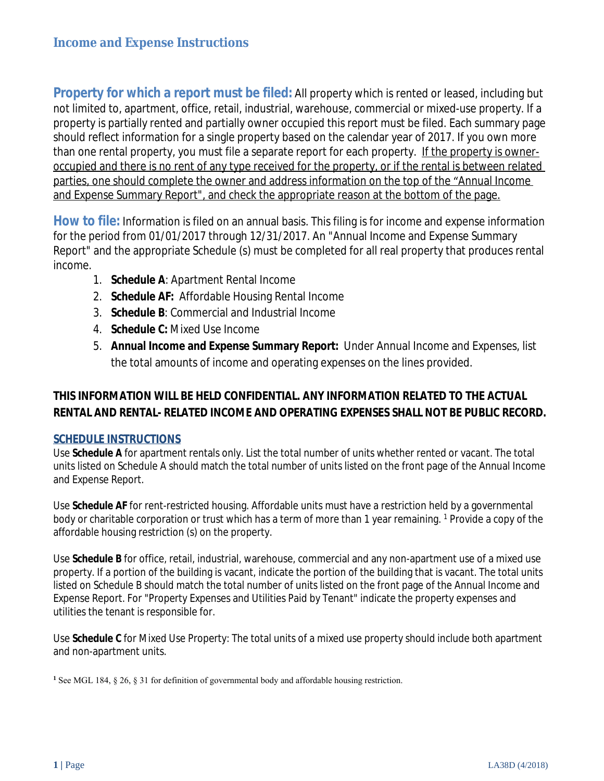**Property for which a report must be filed:** All property which is rented or leased, including but not limited to, apartment, office, retail, industrial, warehouse, commercial or mixed-use property. If a property is partially rented and partially owner occupied this report must be filed. Each summary page should reflect information for a single property based on the calendar year of 2017. If you own more than one rental property, you must file a separate report for each property. If the property is owneroccupied and there is no rent of any type received for the property, or if the rental is between related parties, one should complete the owner and address information on the top of the "Annual Income and Expense Summary Report", and check the appropriate reason at the bottom of the page.

**How to file:** Information is filed on an annual basis. This filing is for income and expense information for the period from 01/01/2017 through 12/31/2017. An "Annual Income and Expense Summary Report" and the appropriate Schedule (s) must be completed for all real property that produces rental income.

- 1. **Schedule A**: Apartment Rental Income
- 2. **Schedule AF:** Affordable Housing Rental Income
- 3. **Schedule B**: Commercial and Industrial Income
- 4. **Schedule C:** Mixed Use Income
- 5. **Annual Income and Expense Summary Report:** Under Annual Income and Expenses, list the total amounts of income and operating expenses on the lines provided.

### **THIS INFORMATION WILL BE HELD CONFIDENTIAL. ANY INFORMATION RELATED TO THE ACTUAL RENTAL AND RENTAL- RELATED INCOME AND OPERATING EXPENSES SHALL NOT BE PUBLIC RECORD.**

#### **SCHEDULE INSTRUCTIONS**

Use **Schedule A** for apartment rentals only. List the total number of units whether rented or vacant. The total units listed on Schedule A should match the total number of units listed on the front page of the Annual Income and Expense Report.

Use **Schedule AF** for rent-restricted housing. Affordable units must have a restriction held by a governmental body or charitable corporation or trust which has a term of more than 1 year remaining. <sup>1</sup> Provide a copy of the affordable housing restriction (s) on the property.

Use **Schedule B** for office, retail, industrial, warehouse, commercial and any non-apartment use of a mixed use property. If a portion of the building is vacant, indicate the portion of the building that is vacant. The total units listed on Schedule B should match the total number of units listed on the front page of the Annual Income and Expense Report. For "Property Expenses and Utilities Paid by Tenant" indicate the property expenses and utilities the tenant is responsible for.

Use **Schedule C** for Mixed Use Property: The total units of a mixed use property should include both apartment and non-apartment units.

**<sup>1</sup>** See MGL 184, § 26, § 31 for definition of governmental body and affordable housing restriction.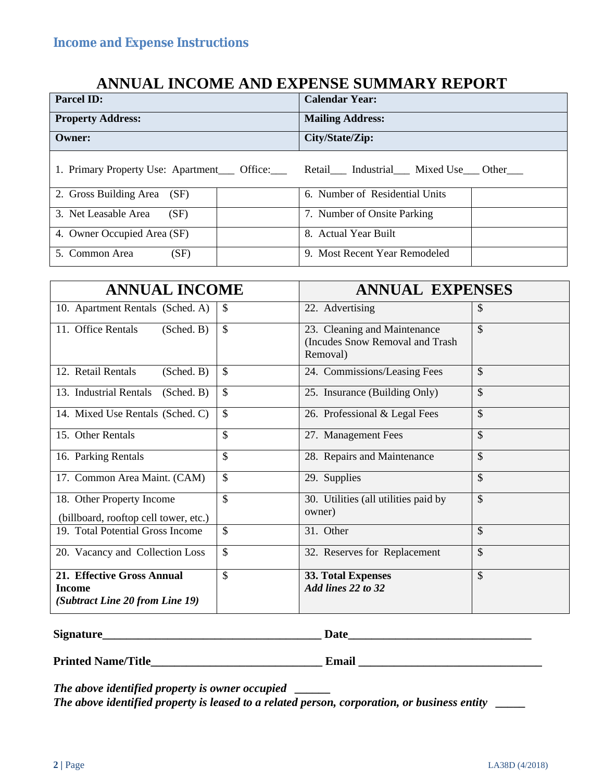## **ANNUAL INCOME AND EXPENSE SUMMARY REPORT**

| <b>Parcel ID:</b>                                                                                             | <b>Calendar Year:</b>          |
|---------------------------------------------------------------------------------------------------------------|--------------------------------|
| <b>Property Address:</b>                                                                                      | <b>Mailing Address:</b>        |
| Owner:                                                                                                        | City/State/Zip:                |
| 1. Primary Property Use: Apartment ____ Office: _____ Retail _____ Industrial _____ Mixed Use ____ Other ____ |                                |
| 2. Gross Building Area (SF)                                                                                   | 6. Number of Residential Units |
| 3. Net Leasable Area<br>(SF)                                                                                  | 7. Number of Onsite Parking    |
| 4. Owner Occupied Area (SF)                                                                                   | 8. Actual Year Built           |
| (SF)<br>5. Common Area                                                                                        | 9. Most Recent Year Remodeled  |

| <b>ANNUAL INCOME</b>                                                    |    | <b>ANNUAL EXPENSES</b>                                                      |               |
|-------------------------------------------------------------------------|----|-----------------------------------------------------------------------------|---------------|
| 10. Apartment Rentals (Sched. A)                                        | \$ | 22. Advertising                                                             | \$            |
| 11. Office Rentals<br>(Sched. B)                                        | \$ | 23. Cleaning and Maintenance<br>(Incudes Snow Removal and Trash<br>Removal) | \$            |
| 12. Retail Rentals<br>(Sched. B)                                        | \$ | 24. Commissions/Leasing Fees                                                | \$            |
| 13. Industrial Rentals<br>(Sched. B)                                    | \$ | 25. Insurance (Building Only)                                               | \$            |
| 14. Mixed Use Rentals (Sched. C)                                        | \$ | 26. Professional & Legal Fees                                               | $\mathcal{S}$ |
| 15. Other Rentals                                                       | \$ | 27. Management Fees                                                         | \$            |
| 16. Parking Rentals                                                     | \$ | 28. Repairs and Maintenance                                                 | \$            |
| 17. Common Area Maint. (CAM)                                            | \$ | 29. Supplies                                                                | \$            |
| 18. Other Property Income<br>(billboard, rooftop cell tower, etc.)      | \$ | 30. Utilities (all utilities paid by<br>owner)                              | \$            |
| 19. Total Potential Gross Income                                        | \$ | 31. Other                                                                   | \$            |
| 20. Vacancy and Collection Loss                                         | \$ | 32. Reserves for Replacement                                                | \$            |
| 21. Effective Gross Annual<br>Income<br>(Subtract Line 20 from Line 19) | \$ | <b>33. Total Expenses</b><br>Add lines 22 to 32                             | \$            |

**Signature\_\_\_\_\_\_\_\_\_\_\_\_\_\_\_\_\_\_\_\_\_\_\_\_\_\_\_\_\_\_\_\_\_\_\_\_\_ Date\_\_\_\_\_\_\_\_\_\_\_\_\_\_\_\_\_\_\_\_\_\_\_\_\_\_\_\_\_\_\_**

**Printed Name/Title\_\_\_\_\_\_\_\_\_\_\_\_\_\_\_\_\_\_\_\_\_\_\_\_\_\_\_\_\_ Email \_\_\_\_\_\_\_\_\_\_\_\_\_\_\_\_\_\_\_\_\_\_\_\_\_\_\_\_\_\_\_**

*The above identified property is owner occupied \_\_\_\_\_\_*

*The above identified property is leased to a related person, corporation, or business entity \_\_\_\_\_*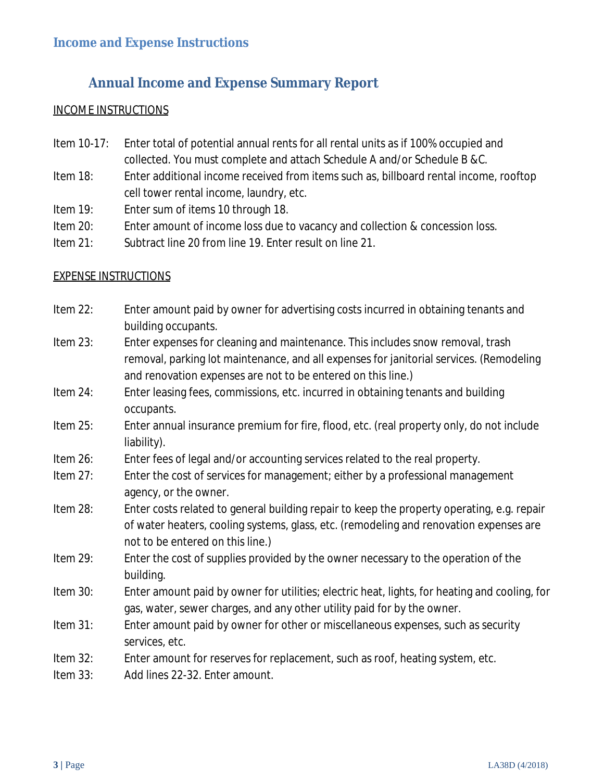# **Annual Income and Expense Summary Report**

#### INCOME INSTRUCTIONS

- Item 10-17: Enter total of potential annual rents for all rental units as if 100% occupied and collected. You must complete and attach Schedule A and/or Schedule B &C.
- Item 18: Enter additional income received from items such as, billboard rental income, rooftop cell tower rental income, laundry, etc.
- Item 19: Enter sum of items 10 through 18.
- Item 20: Enter amount of income loss due to vacancy and collection & concession loss.
- Item 21: Subtract line 20 from line 19. Enter result on line 21.

#### EXPENSE INSTRUCTIONS

| Item 22: | Enter amount paid by owner for advertising costs incurred in obtaining tenants and<br>building occupants.                                                                                                                                 |
|----------|-------------------------------------------------------------------------------------------------------------------------------------------------------------------------------------------------------------------------------------------|
| Item 23: | Enter expenses for cleaning and maintenance. This includes snow removal, trash<br>removal, parking lot maintenance, and all expenses for janitorial services. (Remodeling<br>and renovation expenses are not to be entered on this line.) |
| Item 24: | Enter leasing fees, commissions, etc. incurred in obtaining tenants and building<br>occupants.                                                                                                                                            |
| Item 25: | Enter annual insurance premium for fire, flood, etc. (real property only, do not include<br>liability).                                                                                                                                   |
| Item 26: | Enter fees of legal and/or accounting services related to the real property.                                                                                                                                                              |
| Item 27: | Enter the cost of services for management; either by a professional management<br>agency, or the owner.                                                                                                                                   |
| Item 28: | Enter costs related to general building repair to keep the property operating, e.g. repair<br>of water heaters, cooling systems, glass, etc. (remodeling and renovation expenses are<br>not to be entered on this line.)                  |
| Item 29: | Enter the cost of supplies provided by the owner necessary to the operation of the<br>building.                                                                                                                                           |
| Item 30: | Enter amount paid by owner for utilities; electric heat, lights, for heating and cooling, for<br>gas, water, sewer charges, and any other utility paid for by the owner.                                                                  |
| Item 31: | Enter amount paid by owner for other or miscellaneous expenses, such as security<br>services, etc.                                                                                                                                        |
| Item 32: | Enter amount for reserves for replacement, such as roof, heating system, etc.                                                                                                                                                             |
| Item 33: | Add lines 22-32. Enter amount.                                                                                                                                                                                                            |